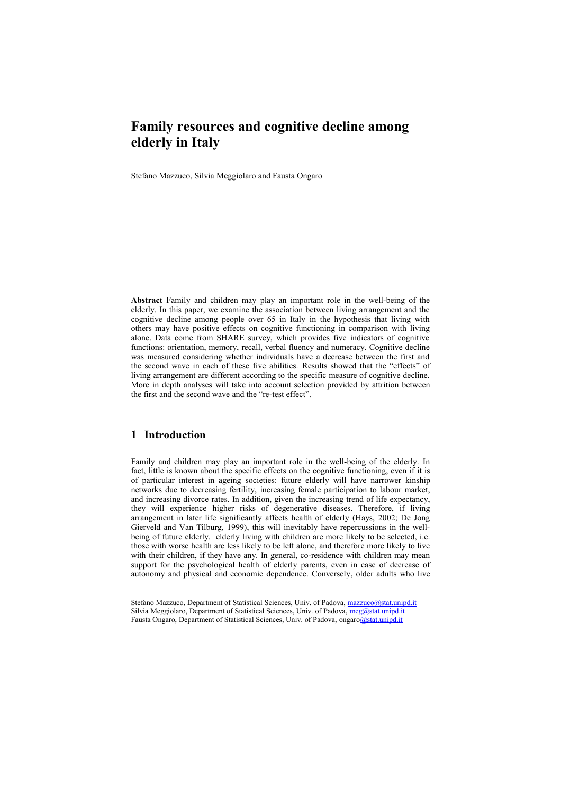# **Family resources and cognitive decline among elderly in Italy**

Stefano Mazzuco, Silvia Meggiolaro and Fausta Ongaro

**Abstract** Family and children may play an important role in the well-being of the elderly. In this paper, we examine the association between living arrangement and the cognitive decline among people over 65 in Italy in the hypothesis that living with others may have positive effects on cognitive functioning in comparison with living alone. Data come from SHARE survey, which provides five indicators of cognitive functions: orientation, memory, recall, verbal fluency and numeracy. Cognitive decline was measured considering whether individuals have a decrease between the first and the second wave in each of these five abilities. Results showed that the "effects" of living arrangement are different according to the specific measure of cognitive decline. More in depth analyses will take into account selection provided by attrition between the first and the second wave and the "re-test effect".

#### **1 Introduction**

Family and children may play an important role in the well-being of the elderly. In fact, little is known about the specific effects on the cognitive functioning, even if it is of particular interest in ageing societies: future elderly will have narrower kinship networks due to decreasing fertility, increasing female participation to labour market, and increasing divorce rates. In addition, given the increasing trend of life expectancy, they will experience higher risks of degenerative diseases. Therefore, if living arrangement in later life significantly affects health of elderly (Hays, 2002; De Jong Gierveld and Van Tilburg, 1999), this will inevitably have repercussions in the wellbeing of future elderly. elderly living with children are more likely to be selected, i.e. those with worse health are less likely to be left alone, and therefore more likely to live with their children, if they have any. In general, co-residence with children may mean support for the psychological health of elderly parents, even in case of decrease of autonomy and physical and economic dependence. Conversely, older adults who live

Stefano Mazzuco, Department of Statistical Sciences, Univ. of Padova, [mazzuco@stat.unipd.it](mailto:mazzuco@stat.unipd.it) Silvia Meggiolaro, Department of Statistical Sciences, Univ. of Padova, [meg@stat.unipd.it](mailto:meg@stat.unipd.it) Fausta Ongaro, Department of Statistical Sciences, Univ. of Padova, ongaro@stat.unipd.it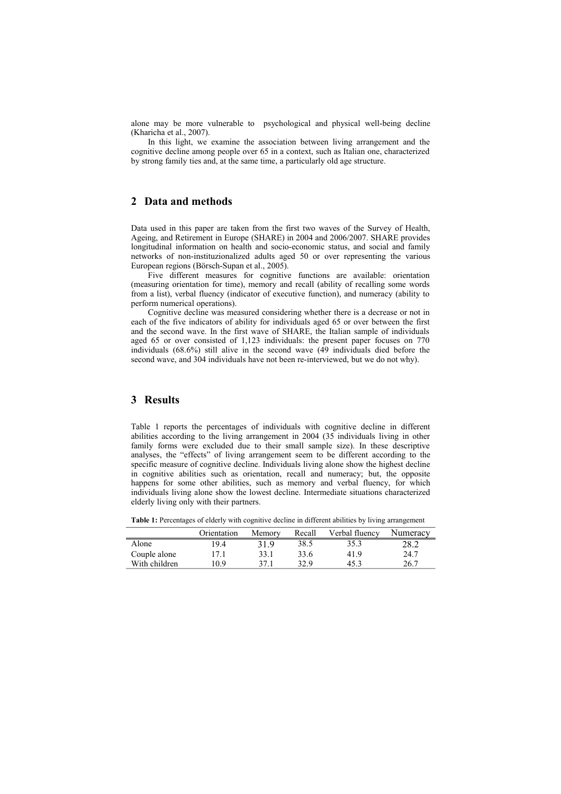alone may be more vulnerable to psychological and physical well-being decline (Kharicha et al., 2007).

In this light, we examine the association between living arrangement and the cognitive decline among people over 65 in a context, such as Italian one, characterized by strong family ties and, at the same time, a particularly old age structure.

### **2 Data and methods**

Data used in this paper are taken from the first two waves of the Survey of Health, Ageing, and Retirement in Europe (SHARE) in 2004 and 2006/2007. SHARE provides longitudinal information on health and socio-economic status, and social and family networks of non-instituzionalized adults aged 50 or over representing the various European regions (Börsch-Supan et al., 2005).

Five different measures for cognitive functions are available: orientation (measuring orientation for time), memory and recall (ability of recalling some words from a list), verbal fluency (indicator of executive function), and numeracy (ability to perform numerical operations).

Cognitive decline was measured considering whether there is a decrease or not in each of the five indicators of ability for individuals aged 65 or over between the first and the second wave. In the first wave of SHARE, the Italian sample of individuals aged 65 or over consisted of 1,123 individuals: the present paper focuses on 770 individuals (68.6%) still alive in the second wave (49 individuals died before the second wave, and 304 individuals have not been re-interviewed, but we do not why).

#### **3 Results**

Table 1 reports the percentages of individuals with cognitive decline in different abilities according to the living arrangement in 2004 (35 individuals living in other family forms were excluded due to their small sample size). In these descriptive analyses, the "effects" of living arrangement seem to be different according to the specific measure of cognitive decline. Individuals living alone show the highest decline in cognitive abilities such as orientation, recall and numeracy; but, the opposite happens for some other abilities, such as memory and verbal fluency, for which individuals living alone show the lowest decline. Intermediate situations characterized elderly living only with their partners.

**Table 1:** Percentages of elderly with cognitive decline in different abilities by living arrangement

|               | Orientation | Memory | Recall | Verbal fluency | Numeracy |
|---------------|-------------|--------|--------|----------------|----------|
| Alone         | 19.4        | 319    | 38.5   | 35.3           | 28.2     |
| Couple alone  | 17.1        | 33.1   | 33.6   | 41.9           | 24.7     |
| With children | 10.9        | 371    | 32.9   | 45.3           | 26.7     |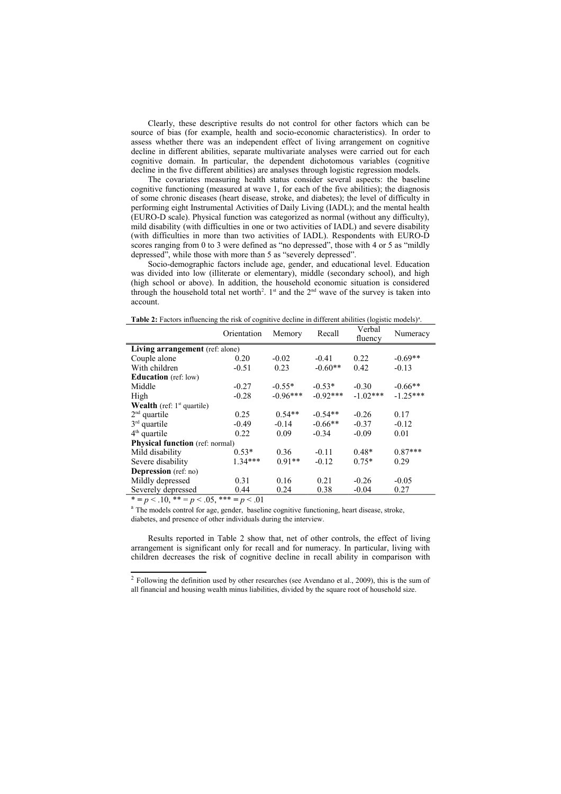Clearly, these descriptive results do not control for other factors which can be source of bias (for example, health and socio-economic characteristics). In order to assess whether there was an independent effect of living arrangement on cognitive decline in different abilities, separate multivariate analyses were carried out for each cognitive domain. In particular, the dependent dichotomous variables (cognitive decline in the five different abilities) are analyses through logistic regression models.

The covariates measuring health status consider several aspects: the baseline cognitive functioning (measured at wave 1, for each of the five abilities); the diagnosis of some chronic diseases (heart disease, stroke, and diabetes); the level of difficulty in performing eight Instrumental Activities of Daily Living (IADL); and the mental health (EURO-D scale). Physical function was categorized as normal (without any difficulty), mild disability (with difficulties in one or two activities of IADL) and severe disability (with difficulties in more than two activities of IADL). Respondents with EURO-D scores ranging from 0 to 3 were defined as "no depressed", those with 4 or 5 as "mildly depressed", while those with more than 5 as "severely depressed".

Socio-demographic factors include age, gender, and educational level. Education was divided into low (illiterate or elementary), middle (secondary school), and high (high school or above). In addition, the household economic situation is considered through the household total net worth<sup>[2](#page-2-0)</sup>. 1<sup>st</sup> and the  $2<sup>nd</sup>$  wave of the survey is taken into account.

**Table 2:** Factors influencing the risk of cognitive decline in different abilities (logistic models)<sup>a</sup>.

|                                        | Orientation | Memory     | Recall     | Verbal<br>fluency | Numeracy   |  |  |  |
|----------------------------------------|-------------|------------|------------|-------------------|------------|--|--|--|
| Living arrangement (ref: alone)        |             |            |            |                   |            |  |  |  |
| Couple alone                           | 0.20        | $-0.02$    | $-0.41$    | 0.22              | $-0.69**$  |  |  |  |
| With children                          | $-0.51$     | 0.23       | $-0.60**$  | 0.42              | $-0.13$    |  |  |  |
| <b>Education</b> (ref: low)            |             |            |            |                   |            |  |  |  |
| Middle                                 | $-0.27$     | $-0.55*$   | $-0.53*$   | $-0.30$           | $-0.66**$  |  |  |  |
| High                                   | $-0.28$     | $-0.96***$ | $-0.92***$ | $-1.02***$        | $-1.25***$ |  |  |  |
| <b>Wealth</b> (ref: $1st$ quartile)    |             |            |            |                   |            |  |  |  |
| $2nd$ quartile                         | 0.25        | $0.54**$   | $-0.54**$  | $-0.26$           | 0.17       |  |  |  |
| $3rd$ quartile                         | $-0.49$     | $-0.14$    | $-0.66**$  | $-0.37$           | $-0.12$    |  |  |  |
| $4th$ quartile                         | 0.22        | 0.09       | $-0.34$    | $-0.09$           | 0.01       |  |  |  |
| <b>Physical function</b> (ref: normal) |             |            |            |                   |            |  |  |  |
| Mild disability                        | $0.53*$     | 0.36       | $-0.11$    | $0.48*$           | $0.87***$  |  |  |  |
| Severe disability                      | $134***$    | $0.91**$   | $-0.12$    | $0.75*$           | 0.29       |  |  |  |
| <b>Depression</b> (ref: no)            |             |            |            |                   |            |  |  |  |
| Mildly depressed                       | 0.31        | 0.16       | 0.21       | $-0.26$           | $-0.05$    |  |  |  |
| Severely depressed                     | 0.44        | 0.24       | 0.38       | $-0.04$           | 0.27       |  |  |  |

 $* = p < .10, ** = p < .05, ** = p < .01$ 

<sup>a</sup> The models control for age, gender, baseline cognitive functioning, heart disease, stroke, diabetes, and presence of other individuals during the interview.

Results reported in Table 2 show that, net of other controls, the effect of living arrangement is significant only for recall and for numeracy. In particular, living with children decreases the risk of cognitive decline in recall ability in comparison with

<span id="page-2-0"></span> $2$  Following the definition used by other researches (see Avendano et al., 2009), this is the sum of all financial and housing wealth minus liabilities, divided by the square root of household size.